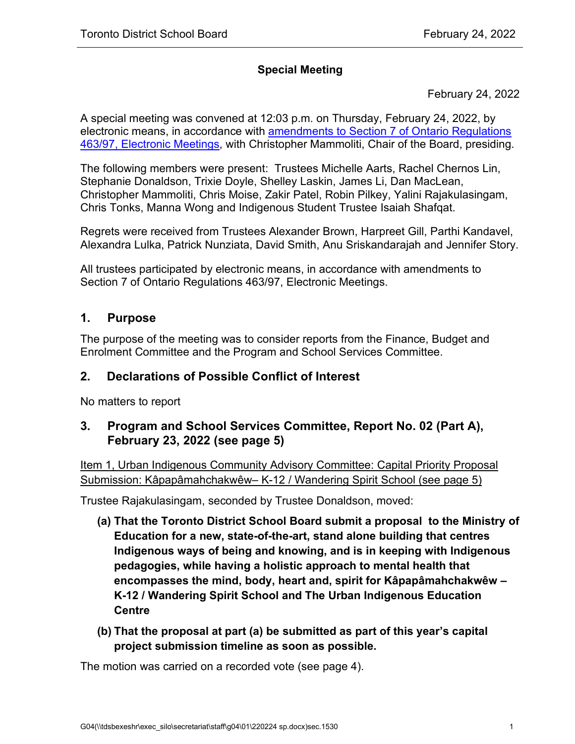#### **Special Meeting**

February 24, 2022

A special meeting was convened at 12:03 p.m. on Thursday, February 24, 2022, by electronic means, in accordance with [amendments to Section 7 of Ontario Regulations](https://www.ontario.ca/laws/regulation/970463) [463/97, Electronic Meetings,](https://www.ontario.ca/laws/regulation/970463) with Christopher Mammoliti, Chair of the Board, presiding.

The following members were present: Trustees Michelle Aarts, Rachel Chernos Lin, Stephanie Donaldson, Trixie Doyle, Shelley Laskin, James Li, Dan MacLean, Christopher Mammoliti, Chris Moise, Zakir Patel, Robin Pilkey, Yalini Rajakulasingam, Chris Tonks, Manna Wong and Indigenous Student Trustee Isaiah Shafqat.

Regrets were received from Trustees Alexander Brown, Harpreet Gill, Parthi Kandavel, Alexandra Lulka, Patrick Nunziata, David Smith, Anu Sriskandarajah and Jennifer Story.

All trustees participated by electronic means, in accordance with amendments to Section 7 of Ontario Regulations 463/97, Electronic Meetings.

#### <span id="page-0-0"></span>**1. Purpose**

The purpose of the meeting was to consider reports from the Finance, Budget and Enrolment Committee and the Program and School Services Committee.

#### **2. Declarations of Possible Conflict of Interest**

No matters to report

#### **3. Program and School Services Committee, Report No. 02 (Part A), February 23, 2022 (see page [5\)](#page-4-0)**

Item 1, Urban Indigenous Community Advisory Committee: Capital Priority Proposal Submission: Kâpapâmahchakwêw– K-12 / Wandering Spirit School (see page [5\)](#page-4-1)

Trustee Rajakulasingam, seconded by Trustee Donaldson, moved:

- **(a) That the Toronto District School Board submit a proposal to the Ministry of Education for a new, state-of-the-art, stand alone building that centres Indigenous ways of being and knowing, and is in keeping with Indigenous pedagogies, while having a holistic approach to mental health that encompasses the mind, body, heart and, spirit for Kâpapâmahchakwêw – K-12 / Wandering Spirit School and The Urban Indigenous Education Centre**
- **(b) That the proposal at part (a) be submitted as part of this year's capital project submission timeline as soon as possible.**

The motion was carried on a recorded vote (see page [4\)](#page-3-0).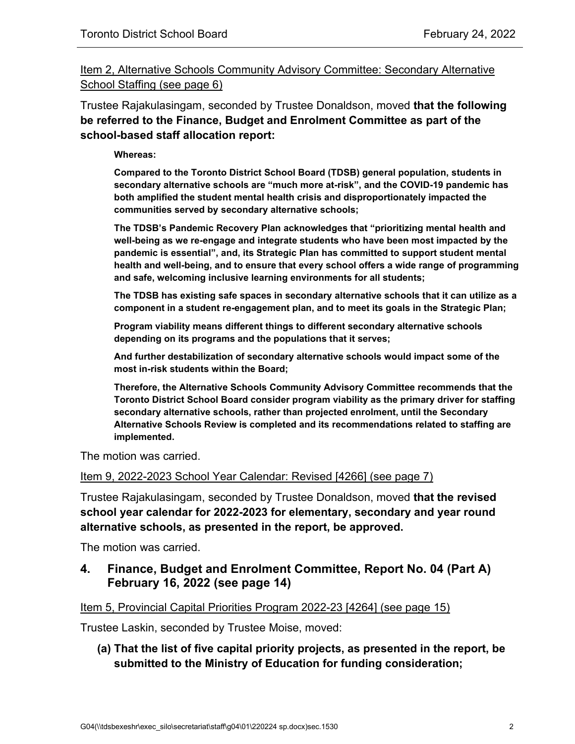Item 2, Alternative Schools Community Advisory Committee: Secondary Alternative School Staffing (see page [6\)](#page-5-0)

Trustee Rajakulasingam, seconded by Trustee Donaldson, moved **that the following be referred to the Finance, Budget and Enrolment Committee as part of the school-based staff allocation report:**

**Whereas:** 

**Compared to the Toronto District School Board (TDSB) general population, students in secondary alternative schools are "much more at-risk", and the COVID-19 pandemic has both amplified the student mental health crisis and disproportionately impacted the communities served by secondary alternative schools;** 

**The TDSB's Pandemic Recovery Plan acknowledges that "prioritizing mental health and well-being as we re-engage and integrate students who have been most impacted by the pandemic is essential", and, its Strategic Plan has committed to support student mental health and well-being, and to ensure that every school offers a wide range of programming and safe, welcoming inclusive learning environments for all students;** 

**The TDSB has existing safe spaces in secondary alternative schools that it can utilize as a component in a student re-engagement plan, and to meet its goals in the Strategic Plan;** 

**Program viability means different things to different secondary alternative schools depending on its programs and the populations that it serves;** 

**And further destabilization of secondary alternative schools would impact some of the most in-risk students within the Board;**

**Therefore, the Alternative Schools Community Advisory Committee recommends that the Toronto District School Board consider program viability as the primary driver for staffing secondary alternative schools, rather than projected enrolment, until the Secondary Alternative Schools Review is completed and its recommendations related to staffing are implemented.**

The motion was carried.

Item 9, 2022-2023 School Year Calendar: Revised [4266] (see page [7\)](#page-6-0)

Trustee Rajakulasingam, seconded by Trustee Donaldson, moved **that the revised school year calendar for 2022-2023 for elementary, secondary and year round alternative schools, as presented in the report, be approved.**

The motion was carried.

#### **4. Finance, Budget and Enrolment Committee, Report No. 04 (Part A) February 16, 2022 (see page [14\)](#page-13-0)**

#### Item 5, Provincial Capital Priorities Program 2022-23 [4264] (see page [15\)](#page-14-0)

Trustee Laskin, seconded by Trustee Moise, moved:

**(a) That the list of five capital priority projects, as presented in the report, be submitted to the Ministry of Education for funding consideration;**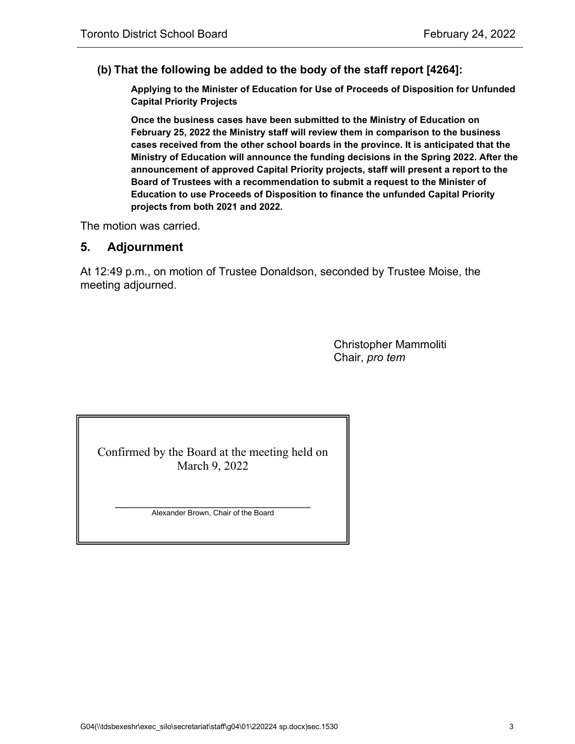#### **(b) That the following be added to the body of the staff report [4264]:**

**Applying to the Minister of Education for Use of Proceeds of Disposition for Unfunded Capital Priority Projects**

**Once the business cases have been submitted to the Ministry of Education on February 25, 2022 the Ministry staff will review them in comparison to the business cases received from the other school boards in the province. It is anticipated that the Ministry of Education will announce the funding decisions in the Spring 2022. After the announcement of approved Capital Priority projects, staff will present a report to the Board of Trustees with a recommendation to submit a request to the Minister of Education to use Proceeds of Disposition to finance the unfunded Capital Priority projects from both 2021 and 2022.**

The motion was carried.

#### **5. Adjournment**

At 12:49 p.m., on motion of Trustee Donaldson, seconded by Trustee Moise, the meeting adjourned.

> Christopher Mammoliti Chair, *pro tem*

Confirmed by the Board at the meeting held on March 9, 2022

 $\overline{\phantom{a}}$  , which is a set of the set of the set of the set of the set of the set of the set of the set of the set of the set of the set of the set of the set of the set of the set of the set of the set of the set of th Alexander Brown, Chair of the Board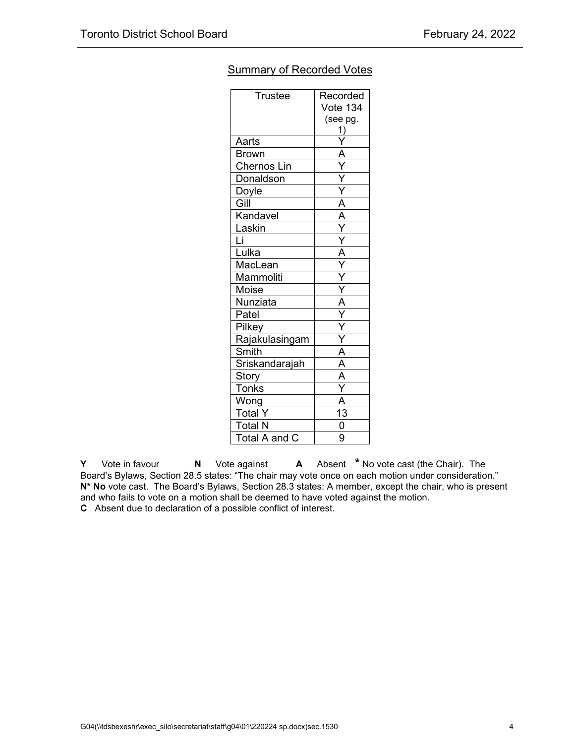|                | <b>Vote 134</b><br>(see pg.<br>1)   |
|----------------|-------------------------------------|
|                |                                     |
|                |                                     |
|                |                                     |
| Aarts          |                                     |
| <b>Brown</b>   | A                                   |
| Chernos Lin    | Ÿ                                   |
| Donaldson      | $\overline{\mathsf{Y}}$             |
| Doyle          |                                     |
| Gill           | $\overline{A}$                      |
| Kandavel       | $\overline{A}$                      |
| Laskin         |                                     |
| Ļī             |                                     |
| Lulka          | $\frac{\overline{A}}{\overline{Y}}$ |
| MacLean        |                                     |
| Mammoliti      |                                     |
| Moise          |                                     |
| Nunziata       | $\overline{A}$                      |
| Patel          |                                     |
| Pilkey         | Ÿ                                   |
| Rajakulasingam | Ÿ                                   |
| Smith          | Ā                                   |
| Sriskandarajah | $\frac{1}{\mathsf{A}}$              |
| Story          | A                                   |
| <b>Tonks</b>   |                                     |
| Wong           | $\overline{\mathsf{A}}$             |
| <b>Total Y</b> | $\overline{13}$                     |
| <b>Total N</b> | $\frac{1}{0}$<br>9                  |
| Total A and C  |                                     |

#### <span id="page-3-0"></span>Summary of Recorded Votes

**Y** Vote in favour **N** Vote against **A** Absent **\*** No vote cast (the Chair). The Board's Bylaws, Section 28.5 states: "The chair may vote once on each motion under consideration." **N\* No** vote cast. The Board's Bylaws, Section 28.3 states: A member, except the chair, who is present and who fails to vote on a motion shall be deemed to have voted against the motion. **C** Absent due to declaration of a possible conflict of interest.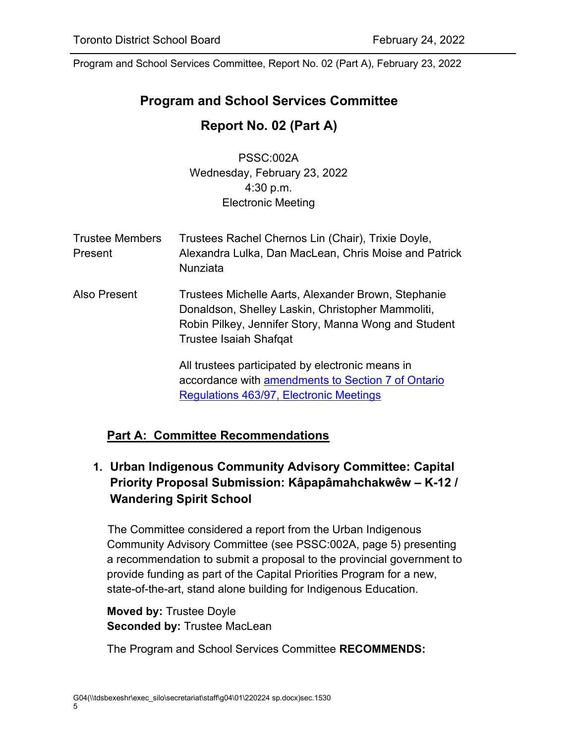# <span id="page-4-0"></span>**Program and School Services Committee**

## **Report No. 02 (Part A)**

PSSC:002A Wednesday, February 23, 2022 4:30 p.m. Electronic Meeting

| <b>Trustee Members</b><br>Present | Trustees Rachel Chernos Lin (Chair), Trixie Doyle,<br>Alexandra Lulka, Dan MacLean, Chris Moise and Patrick<br>Nunziata                                                                           |
|-----------------------------------|---------------------------------------------------------------------------------------------------------------------------------------------------------------------------------------------------|
| Also Present                      | Trustees Michelle Aarts, Alexander Brown, Stephanie<br>Donaldson, Shelley Laskin, Christopher Mammoliti,<br>Robin Pilkey, Jennifer Story, Manna Wong and Student<br><b>Trustee Isaiah Shafqat</b> |
|                                   | All trustees participated by electronic means in<br>accordance with amendments to Section 7 of Ontario                                                                                            |

# **Part A: Committee Recommendations**

## <span id="page-4-1"></span>**1. Urban Indigenous Community Advisory Committee: Capital Priority Proposal Submission: Kâpapâmahchakwêw – K-12 / Wandering Spirit School**

[Regulations 463/97, Electronic Meetings](https://www.ontario.ca/laws/regulation/970463) 

The Committee considered a report from the Urban Indigenous Community Advisory Committee (see PSSC:002A, page 5) presenting a recommendation to submit a proposal to the provincial government to provide funding as part of the Capital Priorities Program for a new, state-of-the-art, stand alone building for Indigenous Education.

#### **Moved by:** Trustee Doyle **Seconded by:** Trustee MacLean

The Program and School Services Committee **RECOMMENDS:**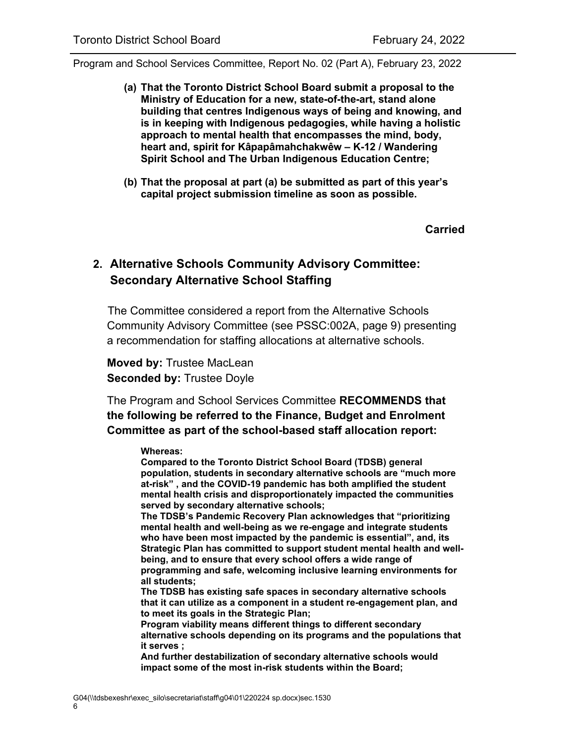- **(a) That the Toronto District School Board submit a proposal to the Ministry of Education for a new, state-of-the-art, stand alone building that centres Indigenous ways of being and knowing, and is in keeping with Indigenous pedagogies, while having a holistic approach to mental health that encompasses the mind, body, heart and, spirit for Kâpapâmahchakwêw – K-12 / Wandering Spirit School and The Urban Indigenous Education Centre;**
- **(b) That the proposal at part (a) be submitted as part of this year's capital project submission timeline as soon as possible.**

**Carried**

### <span id="page-5-0"></span>**2. Alternative Schools Community Advisory Committee: Secondary Alternative School Staffing**

The Committee considered a report from the Alternative Schools Community Advisory Committee (see PSSC:002A, page 9) presenting a recommendation for staffing allocations at alternative schools.

**Moved by:** Trustee MacLean **Seconded by:** Trustee Doyle

The Program and School Services Committee **RECOMMENDS that the following be referred to the Finance, Budget and Enrolment Committee as part of the school-based staff allocation report:**

#### **Whereas:**

**Compared to the Toronto District School Board (TDSB) general population, students in secondary alternative schools are "much more at-risk" , and the COVID-19 pandemic has both amplified the student mental health crisis and disproportionately impacted the communities served by secondary alternative schools;** 

**The TDSB's Pandemic Recovery Plan acknowledges that "prioritizing mental health and well-being as we re-engage and integrate students who have been most impacted by the pandemic is essential", and, its Strategic Plan has committed to support student mental health and wellbeing, and to ensure that every school offers a wide range of programming and safe, welcoming inclusive learning environments for all students;** 

**The TDSB has existing safe spaces in secondary alternative schools that it can utilize as a component in a student re-engagement plan, and to meet its goals in the Strategic Plan;** 

**Program viability means different things to different secondary alternative schools depending on its programs and the populations that it serves ;** 

**And further destabilization of secondary alternative schools would impact some of the most in-risk students within the Board;**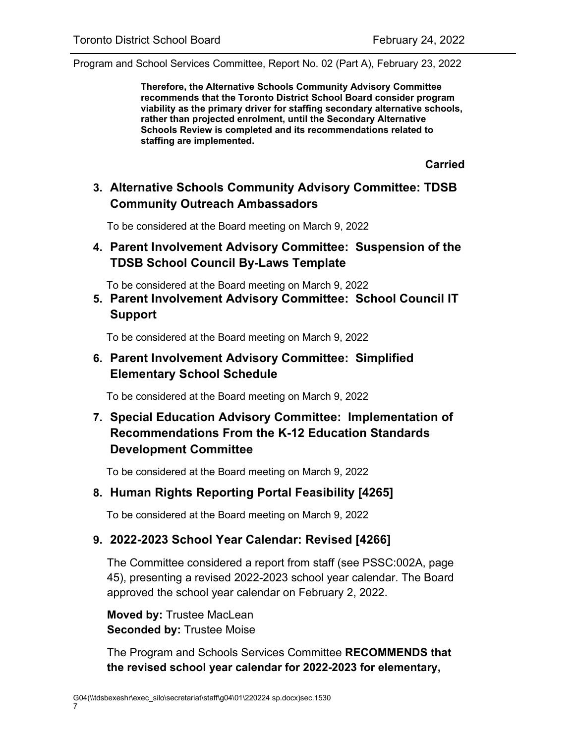**Therefore, the Alternative Schools Community Advisory Committee recommends that the Toronto District School Board consider program viability as the primary driver for staffing secondary alternative schools, rather than projected enrolment, until the Secondary Alternative Schools Review is completed and its recommendations related to staffing are implemented.**

**Carried**

### **3. Alternative Schools Community Advisory Committee: TDSB Community Outreach Ambassadors**

To be considered at the Board meeting on March 9, 2022

### **4. Parent Involvement Advisory Committee: Suspension of the TDSB School Council By-Laws Template**

To be considered at the Board meeting on March 9, 2022

**5. Parent Involvement Advisory Committee: School Council IT Support**

To be considered at the Board meeting on March 9, 2022

#### **6. Parent Involvement Advisory Committee: Simplified Elementary School Schedule**

To be considered at the Board meeting on March 9, 2022

### **7. Special Education Advisory Committee: Implementation of Recommendations From the K-12 Education Standards Development Committee**

To be considered at the Board meeting on March 9, 2022

#### **8. Human Rights Reporting Portal Feasibility [4265]**

To be considered at the Board meeting on March 9, 2022

#### <span id="page-6-0"></span>**9. 2022-2023 School Year Calendar: Revised [4266]**

The Committee considered a report from staff (see PSSC:002A, page 45), presenting a revised 2022-2023 school year calendar. The Board approved the school year calendar on February 2, 2022.

**Moved by:** Trustee MacLean **Seconded by:** Trustee Moise

The Program and Schools Services Committee **RECOMMENDS that the revised school year calendar for 2022-2023 for elementary,**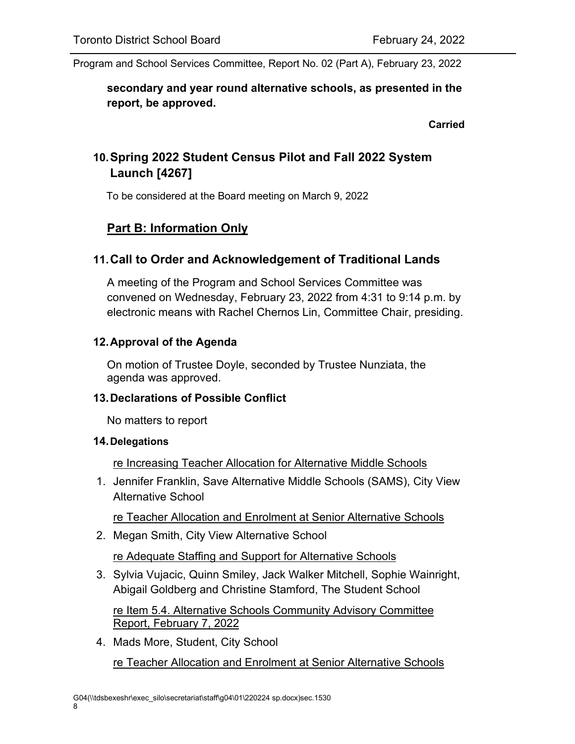### **secondary and year round alternative schools, as presented in the report, be approved.**

**Carried**

# **10.Spring 2022 Student Census Pilot and Fall 2022 System Launch [4267]**

To be considered at the Board meeting on March 9, 2022

# **Part B: Information Only**

### **11.Call to Order and Acknowledgement of Traditional Lands**

A meeting of the Program and School Services Committee was convened on Wednesday, February 23, 2022 from 4:31 to 9:14 p.m. by electronic means with Rachel Chernos Lin, Committee Chair, presiding.

#### **12.Approval of the Agenda**

On motion of Trustee Doyle, seconded by Trustee Nunziata, the agenda was approved.

#### **13.Declarations of Possible Conflict**

No matters to report

#### **14.Delegations**

re Increasing Teacher Allocation for Alternative Middle Schools

1. Jennifer Franklin, Save Alternative Middle Schools (SAMS), City View Alternative School

re Teacher Allocation and Enrolment at Senior Alternative Schools

2. Megan Smith, City View Alternative School

re Adequate Staffing and Support for Alternative Schools

3. Sylvia Vujacic, Quinn Smiley, Jack Walker Mitchell, Sophie Wainright, Abigail Goldberg and Christine Stamford, The Student School

re Item 5.4. Alternative Schools Community Advisory Committee Report, February 7, 2022

4. Mads More, Student, City School re Teacher Allocation and Enrolment at Senior Alternative Schools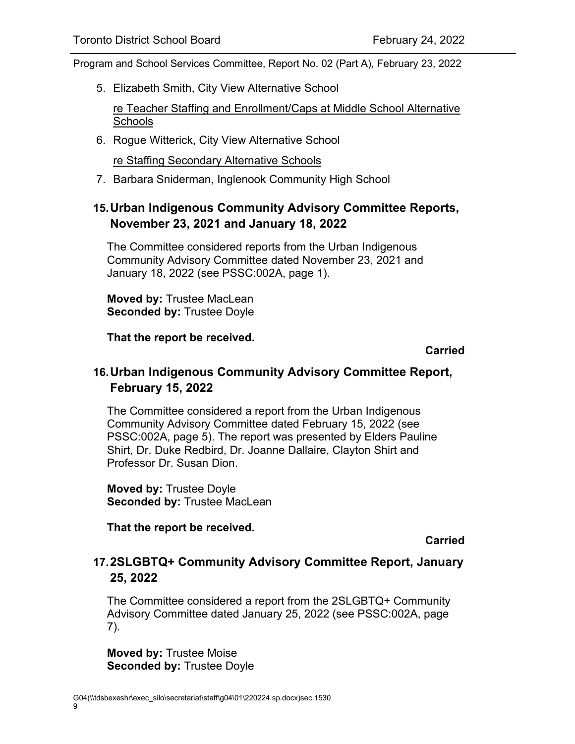5. Elizabeth Smith, City View Alternative School

re Teacher Staffing and Enrollment/Caps at Middle School Alternative **Schools** 

6. Rogue Witterick, City View Alternative School

re Staffing Secondary Alternative Schools

7. Barbara Sniderman, Inglenook Community High School

### **15.Urban Indigenous Community Advisory Committee Reports, November 23, 2021 and January 18, 2022**

The Committee considered reports from the Urban Indigenous Community Advisory Committee dated November 23, 2021 and January 18, 2022 (see PSSC:002A, page 1).

**Moved by:** Trustee MacLean **Seconded by:** Trustee Doyle

**That the report be received.**

**Carried**

#### **16.Urban Indigenous Community Advisory Committee Report, February 15, 2022**

The Committee considered a report from the Urban Indigenous Community Advisory Committee dated February 15, 2022 (see PSSC:002A, page 5). The report was presented by Elders Pauline Shirt, Dr. Duke Redbird, Dr. Joanne Dallaire, Clayton Shirt and Professor Dr. Susan Dion.

**Moved by:** Trustee Doyle **Seconded by:** Trustee MacLean

**That the report be received.**

**Carried**

#### **17.2SLGBTQ+ Community Advisory Committee Report, January 25, 2022**

The Committee considered a report from the 2SLGBTQ+ Community Advisory Committee dated January 25, 2022 (see PSSC:002A, page 7).

**Moved by:** Trustee Moise **Seconded by:** Trustee Doyle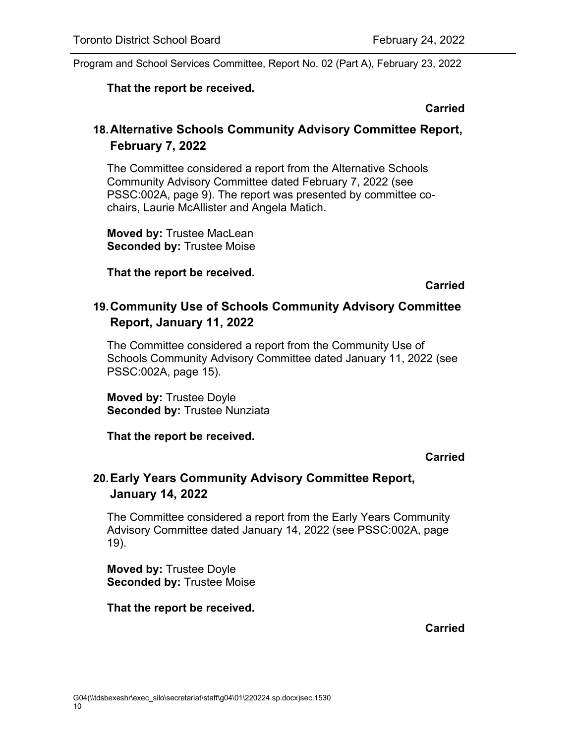#### **That the report be received.**

#### **Carried**

### **18.Alternative Schools Community Advisory Committee Report, February 7, 2022**

The Committee considered a report from the Alternative Schools Community Advisory Committee dated February 7, 2022 (see PSSC:002A, page 9). The report was presented by committee cochairs, Laurie McAllister and Angela Matich.

**Moved by:** Trustee MacLean **Seconded by:** Trustee Moise

**That the report be received.**

**Carried**

### **19.Community Use of Schools Community Advisory Committee Report, January 11, 2022**

The Committee considered a report from the Community Use of Schools Community Advisory Committee dated January 11, 2022 (see PSSC:002A, page 15).

**Moved by:** Trustee Doyle **Seconded by:** Trustee Nunziata

**That the report be received.**

#### **Carried**

## **20.Early Years Community Advisory Committee Report, January 14, 2022**

The Committee considered a report from the Early Years Community Advisory Committee dated January 14, 2022 (see PSSC:002A, page 19).

**Moved by:** Trustee Doyle **Seconded by:** Trustee Moise

#### **That the report be received.**

#### **Carried**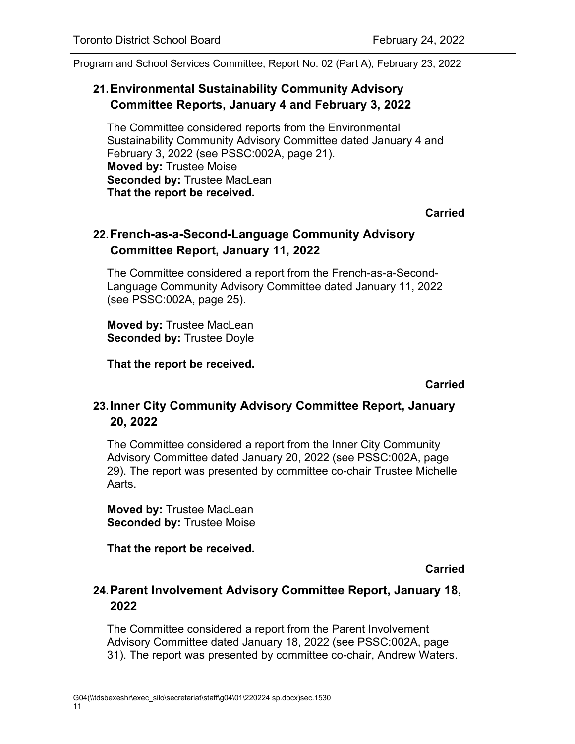### **21.Environmental Sustainability Community Advisory Committee Reports, January 4 and February 3, 2022**

The Committee considered reports from the Environmental Sustainability Community Advisory Committee dated January 4 and February 3, 2022 (see PSSC:002A, page 21). **Moved by:** Trustee Moise **Seconded by:** Trustee MacLean **That the report be received.**

**Carried**

### **22.French-as-a-Second-Language Community Advisory Committee Report, January 11, 2022**

The Committee considered a report from the French-as-a-Second-Language Community Advisory Committee dated January 11, 2022 (see PSSC:002A, page 25).

**Moved by:** Trustee MacLean **Seconded by:** Trustee Doyle

**That the report be received.**

**Carried**

#### **23.Inner City Community Advisory Committee Report, January 20, 2022**

The Committee considered a report from the Inner City Community Advisory Committee dated January 20, 2022 (see PSSC:002A, page 29). The report was presented by committee co-chair Trustee Michelle Aarts.

**Moved by:** Trustee MacLean **Seconded by:** Trustee Moise

**That the report be received.**

**Carried**

#### **24.Parent Involvement Advisory Committee Report, January 18, 2022**

The Committee considered a report from the Parent Involvement Advisory Committee dated January 18, 2022 (see PSSC:002A, page 31). The report was presented by committee co-chair, Andrew Waters.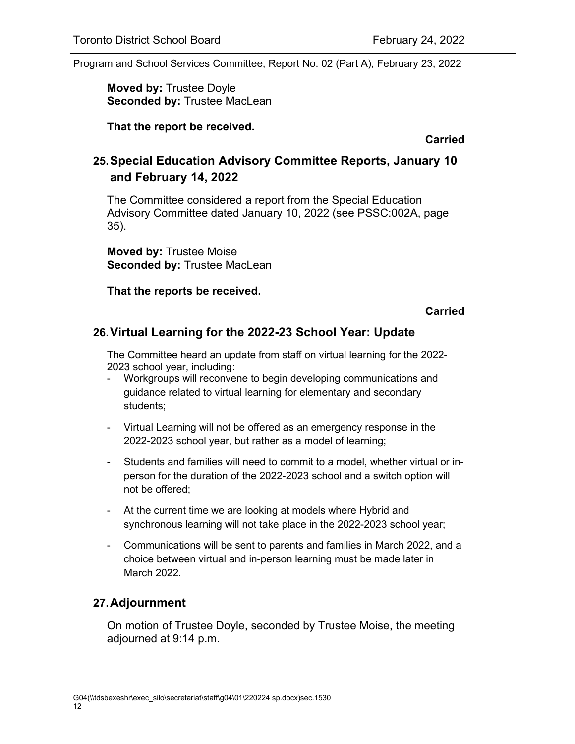**Moved by:** Trustee Doyle **Seconded by:** Trustee MacLean

**That the report be received.**

**Carried**

### **25.Special Education Advisory Committee Reports, January 10 and February 14, 2022**

The Committee considered a report from the Special Education Advisory Committee dated January 10, 2022 (see PSSC:002A, page 35).

**Moved by:** Trustee Moise **Seconded by:** Trustee MacLean

**That the reports be received.**

**Carried**

#### **26.Virtual Learning for the 2022-23 School Year: Update**

The Committee heard an update from staff on virtual learning for the 2022- 2023 school year, including:

- Workgroups will reconvene to begin developing communications and guidance related to virtual learning for elementary and secondary students;
- Virtual Learning will not be offered as an emergency response in the 2022-2023 school year, but rather as a model of learning;
- Students and families will need to commit to a model, whether virtual or inperson for the duration of the 2022-2023 school and a switch option will not be offered;
- At the current time we are looking at models where Hybrid and synchronous learning will not take place in the 2022-2023 school year;
- Communications will be sent to parents and families in March 2022, and a choice between virtual and in-person learning must be made later in March 2022.

#### **27.Adjournment**

On motion of Trustee Doyle, seconded by Trustee Moise, the meeting adjourned at 9:14 p.m.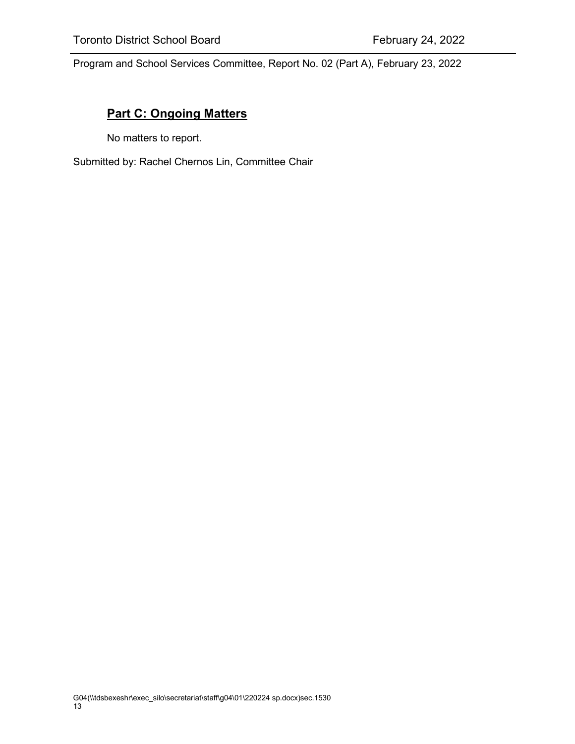#### **Part C: Ongoing Matters**

No matters to report.

Submitted by: Rachel Chernos Lin, Committee Chair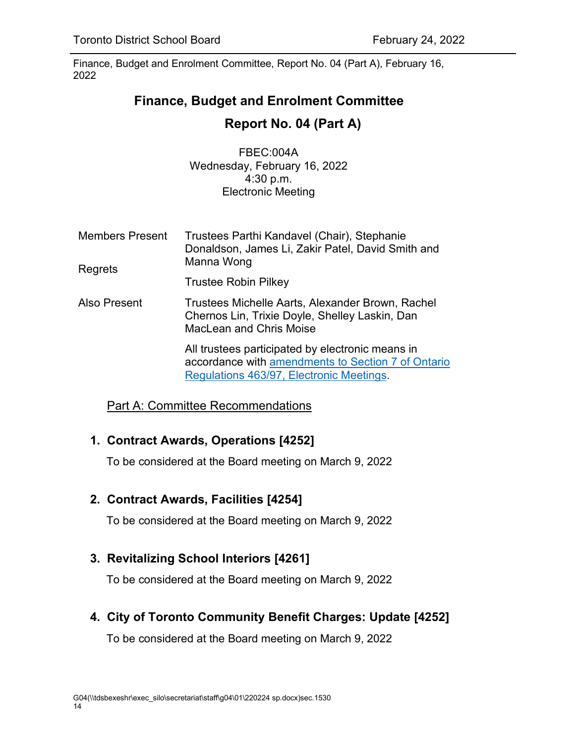# <span id="page-13-0"></span>**Finance, Budget and Enrolment Committee**

# **Report No. 04 (Part A)**

FBEC:004A Wednesday, February 16, 2022 4:30 p.m. Electronic Meeting

Members Present Regrets Trustees Parthi Kandavel (Chair), Stephanie Donaldson, James Li, Zakir Patel, David Smith and Manna Wong Trustee Robin Pilkey Also Present Trustees Michelle Aarts, Alexander Brown, Rachel Chernos Lin, Trixie Doyle, Shelley Laskin, Dan MacLean and Chris Moise All trustees participated by electronic means in accordance with [amendments to Section 7 of Ontario](https://www.ontario.ca/laws/regulation/970463)  [Regulations 463/97, Electronic Meetings.](https://www.ontario.ca/laws/regulation/970463)

Part A: Committee Recommendations

## **1. Contract Awards, Operations [4252]**

To be considered at the Board meeting on March 9, 2022

## **2. Contract Awards, Facilities [4254]**

To be considered at the Board meeting on March 9, 2022

## **3. Revitalizing School Interiors [4261]**

To be considered at the Board meeting on March 9, 2022

**4. City of Toronto Community Benefit Charges: Update [4252]**

To be considered at the Board meeting on March 9, 2022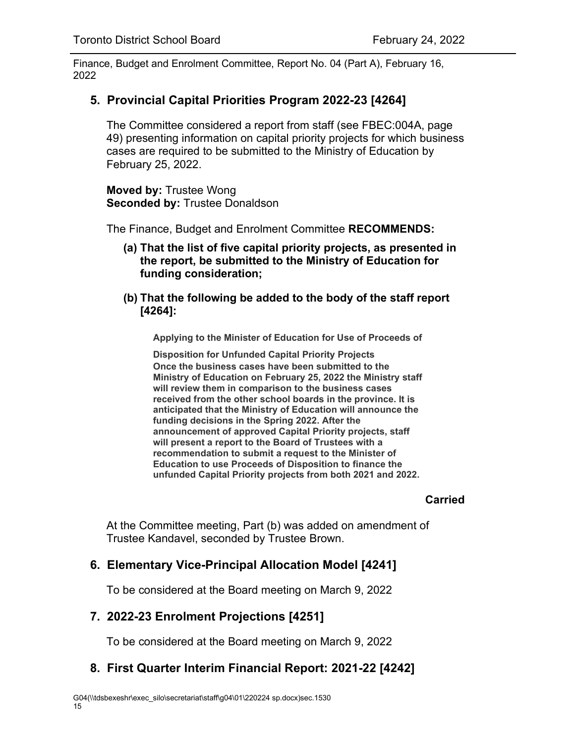### <span id="page-14-0"></span>**5. Provincial Capital Priorities Program 2022-23 [4264]**

The Committee considered a report from staff (see FBEC:004A, page 49) presenting information on capital priority projects for which business cases are required to be submitted to the Ministry of Education by February 25, 2022.

**Moved by:** Trustee Wong **Seconded by:** Trustee Donaldson

The Finance, Budget and Enrolment Committee **RECOMMENDS:**

- **(a) That the list of five capital priority projects, as presented in the report, be submitted to the Ministry of Education for funding consideration;**
- **(b) That the following be added to the body of the staff report [4264]:**

**Applying to the Minister of Education for Use of Proceeds of** 

**Disposition for Unfunded Capital Priority Projects Once the business cases have been submitted to the Ministry of Education on February 25, 2022 the Ministry staff will review them in comparison to the business cases received from the other school boards in the province. It is anticipated that the Ministry of Education will announce the funding decisions in the Spring 2022. After the announcement of approved Capital Priority projects, staff will present a report to the Board of Trustees with a recommendation to submit a request to the Minister of Education to use Proceeds of Disposition to finance the unfunded Capital Priority projects from both 2021 and 2022.**

#### **Carried**

At the Committee meeting, Part (b) was added on amendment of Trustee Kandavel, seconded by Trustee Brown.

## **6. Elementary Vice-Principal Allocation Model [4241]**

To be considered at the Board meeting on March 9, 2022

## **7. 2022-23 Enrolment Projections [4251]**

To be considered at the Board meeting on March 9, 2022

## **8. First Quarter Interim Financial Report: 2021-22 [4242]**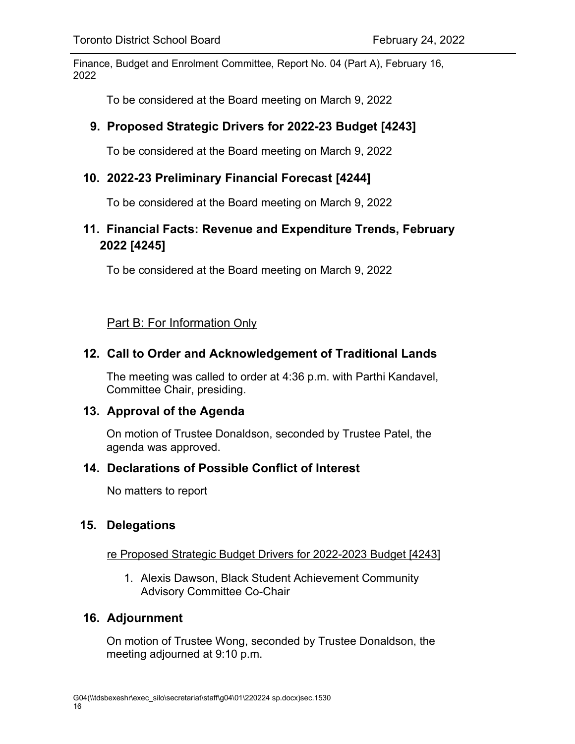To be considered at the Board meeting on March 9, 2022

### **9. Proposed Strategic Drivers for 2022-23 Budget [4243]**

To be considered at the Board meeting on March 9, 2022

### **10. 2022-23 Preliminary Financial Forecast [4244]**

To be considered at the Board meeting on March 9, 2022

## **11. Financial Facts: Revenue and Expenditure Trends, February 2022 [4245]**

To be considered at the Board meeting on March 9, 2022

Part B: For Information Only

### **12. Call to Order and Acknowledgement of Traditional Lands**

The meeting was called to order at 4:36 p.m. with Parthi Kandavel, Committee Chair, presiding.

#### **13. Approval of the Agenda**

On motion of Trustee Donaldson, seconded by Trustee Patel, the agenda was approved.

#### **14. Declarations of Possible Conflict of Interest**

No matters to report

#### **15. Delegations**

#### re Proposed Strategic Budget Drivers for 2022-2023 Budget [4243]

1. Alexis Dawson, Black Student Achievement Community Advisory Committee Co-Chair

#### **16. Adjournment**

On motion of Trustee Wong, seconded by Trustee Donaldson, the meeting adjourned at 9:10 p.m.